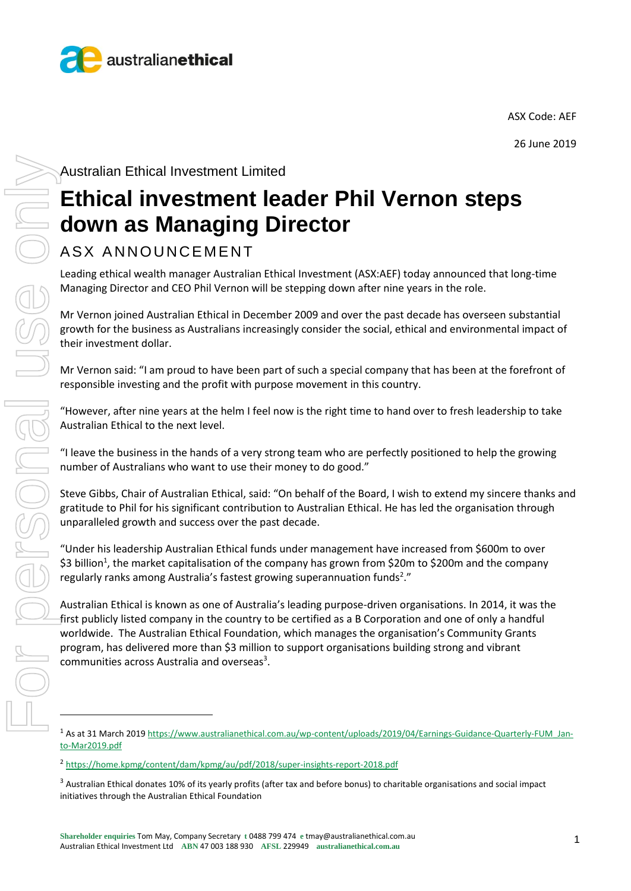

ASX Code: AEF

26 June 2019

Australian Ethical Investment Limited

## **Ethical investment leader Phil Vernon steps down as Managing Director**

## ASX ANNOUNCEMENT

Leading ethical wealth manager Australian Ethical Investment (ASX:AEF) today announced that long-time Managing Director and CEO Phil Vernon will be stepping down after nine years in the role.

Mr Vernon joined Australian Ethical in December 2009 and over the past decade has overseen substantial growth for the business as Australians increasingly consider the social, ethical and environmental impact of their investment dollar.

Mr Vernon said: "I am proud to have been part of such a special company that has been at the forefront of responsible investing and the profit with purpose movement in this country.

"However, after nine years at the helm I feel now is the right time to hand over to fresh leadership to take Australian Ethical to the next level.

"I leave the business in the hands of a very strong team who are perfectly positioned to help the growing number of Australians who want to use their money to do good."

Steve Gibbs, Chair of Australian Ethical, said: "On behalf of the Board, I wish to extend my sincere thanks and gratitude to Phil for his significant contribution to Australian Ethical. He has led the organisation through unparalleled growth and success over the past decade.

"Under his leadership Australian Ethical funds under management have increased from \$600m to over \$3 billion<sup>1</sup>, the market capitalisation of the company has grown from \$20m to \$200m and the company regularly ranks among Australia's fastest growing superannuation funds<sup>2</sup>."

Australian Ethical is known as one of Australia's leading purpose-driven organisations. In 2014, it was the first publicly listed company in the country to be certified as a B Corporation and one of only a handful worldwide. The Australian Ethical Foundation, which manages the organisation's Community Grants program, has delivered more than \$3 million to support organisations building strong and vibrant  $comm$ unities across Australia and overseas<sup>3</sup>.

<sup>1</sup> As at 31 March 201[9 https://www.australianethical.com.au/wp-content/uploads/2019/04/Earnings-Guidance-Quarterly-FUM\\_Jan](https://www.australianethical.com.au/wp-content/uploads/2019/04/Earnings-Guidance-Quarterly-FUM_Jan-to-Mar2019.pdf)[to-Mar2019.pdf](https://www.australianethical.com.au/wp-content/uploads/2019/04/Earnings-Guidance-Quarterly-FUM_Jan-to-Mar2019.pdf)

<sup>2</sup> <https://home.kpmg/content/dam/kpmg/au/pdf/2018/super-insights-report-2018.pdf>

<sup>&</sup>lt;sup>3</sup> Australian Ethical donates 10% of its yearly profits (after tax and before bonus) to charitable organisations and social impact